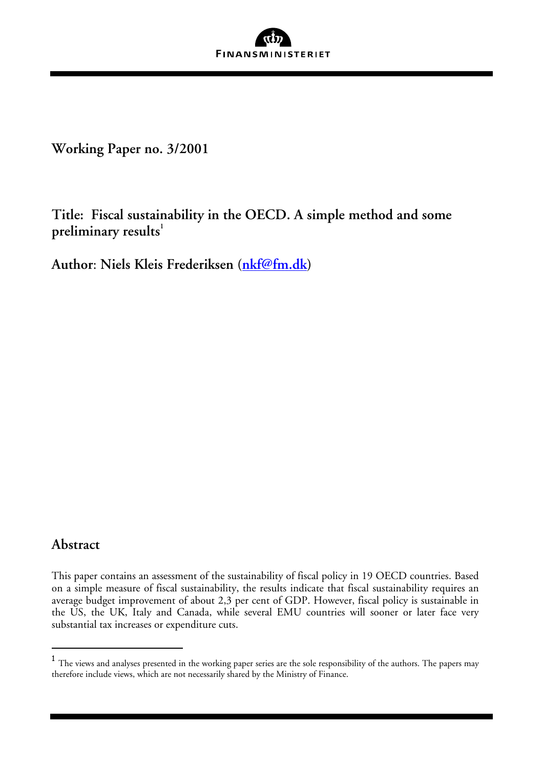

**Working Paper no. 3/2001** 

**Title: Fiscal sustainability in the OECD. A simple method and some preliminary results<sup>1</sup>** 

**Author**: **Niels Kleis Frederiksen (nkf@fm.dk)** 

# **Abstract**

l

This paper contains an assessment of the sustainability of fiscal policy in 19 OECD countries. Based on a simple measure of fiscal sustainability, the results indicate that fiscal sustainability requires an average budget improvement of about 2,3 per cent of GDP. However, fiscal policy is sustainable in the US, the UK, Italy and Canada, while several EMU countries will sooner or later face very substantial tax increases or expenditure cuts.

 $1$  The views and analyses presented in the working paper series are the sole responsibility of the authors. The papers may therefore include views, which are not necessarily shared by the Ministry of Finance.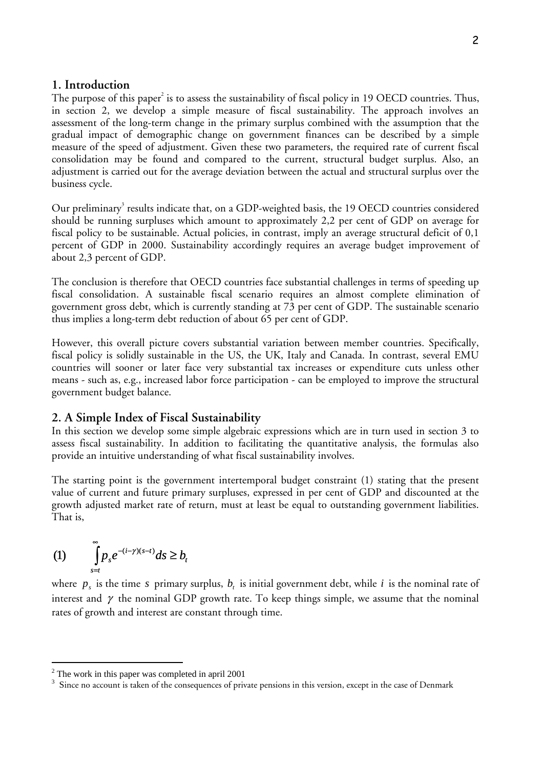#### **1. Introduction**

The purpose of this paper $^2$  is to assess the sustainability of fiscal policy in 19 OECD countries. Thus, in section 2, we develop a simple measure of fiscal sustainability. The approach involves an assessment of the long-term change in the primary surplus combined with the assumption that the gradual impact of demographic change on government finances can be described by a simple measure of the speed of adjustment. Given these two parameters, the required rate of current fiscal consolidation may be found and compared to the current, structural budget surplus. Also, an adjustment is carried out for the average deviation between the actual and structural surplus over the business cycle.

Our preliminary<sup>3</sup> results indicate that, on a GDP-weighted basis, the 19 OECD countries considered should be running surpluses which amount to approximately 2,2 per cent of GDP on average for fiscal policy to be sustainable. Actual policies, in contrast, imply an average structural deficit of 0,1 percent of GDP in 2000. Sustainability accordingly requires an average budget improvement of about 2,3 percent of GDP.

The conclusion is therefore that OECD countries face substantial challenges in terms of speeding up fiscal consolidation. A sustainable fiscal scenario requires an almost complete elimination of government gross debt, which is currently standing at 73 per cent of GDP. The sustainable scenario thus implies a long-term debt reduction of about 65 per cent of GDP.

However, this overall picture covers substantial variation between member countries. Specifically, fiscal policy is solidly sustainable in the US, the UK, Italy and Canada. In contrast, several EMU countries will sooner or later face very substantial tax increases or expenditure cuts unless other means - such as, e.g., increased labor force participation - can be employed to improve the structural government budget balance.

## **2. A Simple Index of Fiscal Sustainability**

In this section we develop some simple algebraic expressions which are in turn used in section 3 to assess fiscal sustainability. In addition to facilitating the quantitative analysis, the formulas also provide an intuitive understanding of what fiscal sustainability involves.

The starting point is the government intertemporal budget constraint (1) stating that the present value of current and future primary surpluses, expressed in per cent of GDP and discounted at the growth adjusted market rate of return, must at least be equal to outstanding government liabilities. That is,

(1) 
$$
\int_{s=t}^{\infty} p_s e^{-(i-\gamma)(s-t)} ds \ge b_t
$$

l

where  $p_i$  is the time *s* primary surplus,  $b_i$  is initial government debt, while *i* is the nominal rate of interest and  $\gamma$  the nominal GDP growth rate. To keep things simple, we assume that the nominal rates of growth and interest are constant through time.

 $2$  The work in this paper was completed in april 2001

<sup>&</sup>lt;sup>3</sup> Since no account is taken of the consequences of private pensions in this version, except in the case of Denmark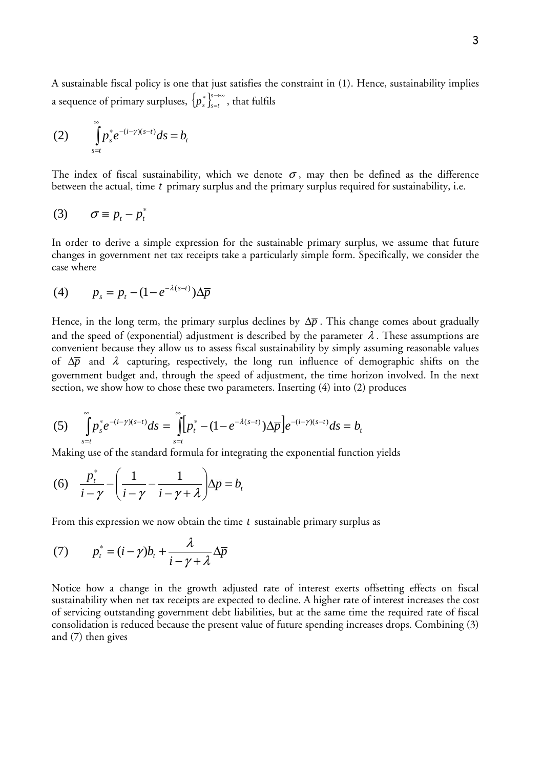A sustainable fiscal policy is one that just satisfies the constraint in (1). Hence, sustainability implies a sequence of primary surpluses,  $\left\{p_{s}^{*}\right\}_{s=t}^{s\rightarrow\infty}$  $p_{s}^{*}\int_{s=t}^{s\rightarrow\infty}$ , that fulfils

(2) 
$$
\int_{s=t}^{\infty} p_s^* e^{-(i-\gamma)(s-t)} ds = b_t
$$

The index of fiscal sustainability, which we denote  $\sigma$ , may then be defined as the difference between the actual, time *t* primary surplus and the primary surplus required for sustainability, i.e.

$$
(3) \qquad \sigma \equiv p_t - p_t^*
$$

In order to derive a simple expression for the sustainable primary surplus, we assume that future changes in government net tax receipts take a particularly simple form. Specifically, we consider the case where

$$
(4) \qquad p_s = p_t - (1 - e^{-\lambda(s-t)})\Delta \overline{p}
$$

Hence, in the long term, the primary surplus declines by  $\Delta \bar{p}$ . This change comes about gradually and the speed of (exponential) adjustment is described by the parameter  $\lambda$ . These assumptions are convenient because they allow us to assess fiscal sustainability by simply assuming reasonable values of ∆*p* and λ capturing, respectively, the long run influence of demographic shifts on the government budget and, through the speed of adjustment, the time horizon involved. In the next section, we show how to chose these two parameters. Inserting (4) into (2) produces

(5) 
$$
\int_{s=t}^{\infty} p_s^* e^{-(i-\gamma)(s-t)} ds = \int_{s=t}^{\infty} [p_t^* - (1 - e^{-\lambda(s-t)}) \Delta \overline{p}] e^{-(i-\gamma)(s-t)} ds = b_t
$$

Making use of the standard formula for integrating the exponential function yields

(6) 
$$
\frac{p_i^*}{i - \gamma} - \left(\frac{1}{i - \gamma} - \frac{1}{i - \gamma + \lambda}\right) \Delta \overline{p} = b_i
$$

From this expression we now obtain the time *t* sustainable primary surplus as

(7) 
$$
p_t^* = (i - \gamma)b_t + \frac{\lambda}{i - \gamma + \lambda} \Delta \overline{p}
$$

Notice how a change in the growth adjusted rate of interest exerts offsetting effects on fiscal sustainability when net tax receipts are expected to decline. A higher rate of interest increases the cost of servicing outstanding government debt liabilities, but at the same time the required rate of fiscal consolidation is reduced because the present value of future spending increases drops. Combining (3) and (7) then gives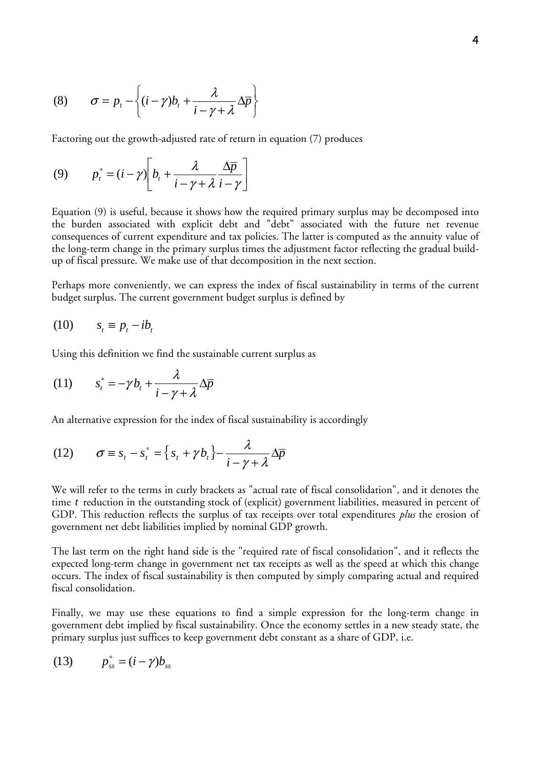(8) 
$$
\sigma = p_t - \left\{ (i - \gamma)b_t + \frac{\lambda}{i - \gamma + \lambda} \Delta \overline{p} \right\}
$$

Factoring out the growth-adjusted rate of return in equation (7) produces

$$
(9) \qquad p_t^* = (i - \gamma) \bigg[ b_t + \frac{\lambda}{i - \gamma + \lambda} \frac{\Delta \overline{p}}{i - \gamma} \bigg]
$$

Equation (9) is useful, because it shows how the required primary surplus may be decomposed into the burden associated with explicit debt and "debt" associated with the future net revenue consequences of current expenditure and tax policies. The latter is computed as the annuity value of the long-term change in the primary surplus times the adjustment factor reflecting the gradual buildup of fiscal pressure. We make use of that decomposition in the next section.

Perhaps more conveniently, we can express the index of fiscal sustainability in terms of the current budget surplus. The current government budget surplus is defined by

$$
(10) \t st \equiv p_t - ib_t
$$

Using this definition we find the sustainable current surplus as

(11) 
$$
s_t^* = -\gamma b_t + \frac{\lambda}{i - \gamma + \lambda} \Delta \overline{p}
$$

An alternative expression for the index of fiscal sustainability is accordingly

(12) 
$$
\sigma \equiv s_t - s_t^* = \left\{ s_t + \gamma b_t \right\} - \frac{\lambda}{i - \gamma + \lambda} \Delta \overline{p}
$$

We will refer to the terms in curly brackets as "actual rate of fiscal consolidation", and it denotes the time *t* reduction in the outstanding stock of (explicit) government liabilities, measured in percent of GDP. This reduction reflects the surplus of tax receipts over total expenditures *plus* the erosion of government net debt liabilities implied by nominal GDP growth.

The last term on the right hand side is the "required rate of fiscal consolidation", and it reflects the expected long-term change in government net tax receipts as well as the speed at which this change occurs. The index of fiscal sustainability is then computed by simply comparing actual and required fiscal consolidation.

Finally, we may use these equations to find a simple expression for the long-term change in government debt implied by fiscal sustainability. Once the economy settles in a new steady state, the primary surplus just suffices to keep government debt constant as a share of GDP, i.e.

$$
(13) \t p_{ss}^* = (i - \gamma)b_{ss}
$$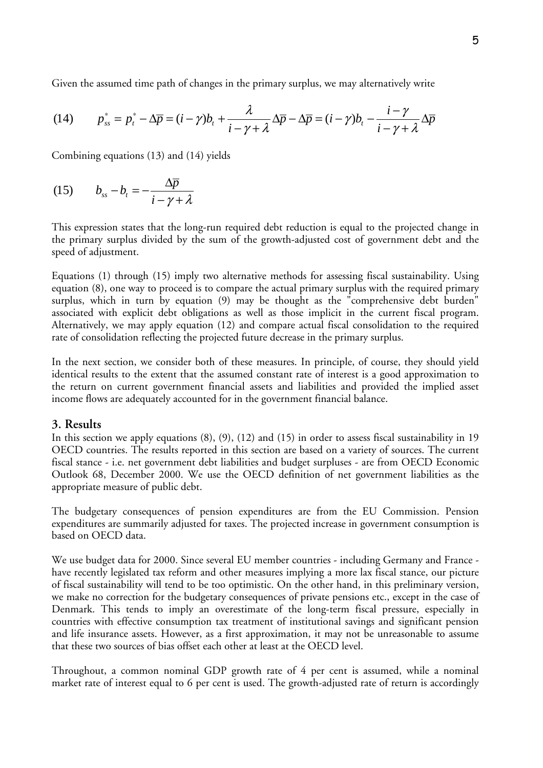Given the assumed time path of changes in the primary surplus, we may alternatively write

(14) 
$$
p_{ss}^* = p_t^* - \Delta \overline{p} = (i - \gamma)b_t + \frac{\lambda}{i - \gamma + \lambda} \Delta \overline{p} - \Delta \overline{p} = (i - \gamma)b_t - \frac{i - \gamma}{i - \gamma + \lambda} \Delta \overline{p}
$$

Combining equations (13) and (14) yields

(15) 
$$
b_{ss} - b_t = -\frac{\Delta \overline{p}}{i - \gamma + \lambda}
$$

This expression states that the long-run required debt reduction is equal to the projected change in the primary surplus divided by the sum of the growth-adjusted cost of government debt and the speed of adjustment.

Equations (1) through (15) imply two alternative methods for assessing fiscal sustainability. Using equation (8), one way to proceed is to compare the actual primary surplus with the required primary surplus, which in turn by equation (9) may be thought as the "comprehensive debt burden" associated with explicit debt obligations as well as those implicit in the current fiscal program. Alternatively, we may apply equation (12) and compare actual fiscal consolidation to the required rate of consolidation reflecting the projected future decrease in the primary surplus.

In the next section, we consider both of these measures. In principle, of course, they should yield identical results to the extent that the assumed constant rate of interest is a good approximation to the return on current government financial assets and liabilities and provided the implied asset income flows are adequately accounted for in the government financial balance.

#### **3. Results**

In this section we apply equations (8), (9), (12) and (15) in order to assess fiscal sustainability in 19 OECD countries. The results reported in this section are based on a variety of sources. The current fiscal stance - i.e. net government debt liabilities and budget surpluses - are from OECD Economic Outlook 68, December 2000. We use the OECD definition of net government liabilities as the appropriate measure of public debt.

The budgetary consequences of pension expenditures are from the EU Commission. Pension expenditures are summarily adjusted for taxes. The projected increase in government consumption is based on OECD data.

We use budget data for 2000. Since several EU member countries - including Germany and France have recently legislated tax reform and other measures implying a more lax fiscal stance, our picture of fiscal sustainability will tend to be too optimistic. On the other hand, in this preliminary version, we make no correction for the budgetary consequences of private pensions etc., except in the case of Denmark. This tends to imply an overestimate of the long-term fiscal pressure, especially in countries with effective consumption tax treatment of institutional savings and significant pension and life insurance assets. However, as a first approximation, it may not be unreasonable to assume that these two sources of bias offset each other at least at the OECD level.

Throughout, a common nominal GDP growth rate of 4 per cent is assumed, while a nominal market rate of interest equal to 6 per cent is used. The growth-adjusted rate of return is accordingly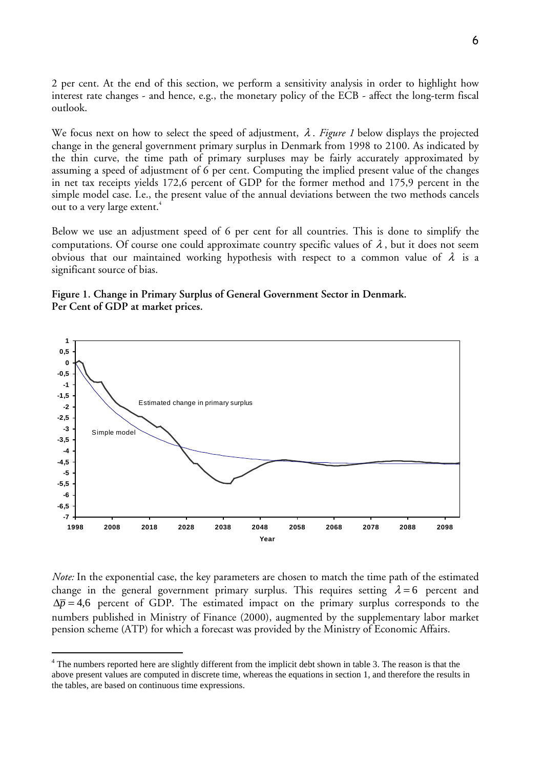2 per cent. At the end of this section, we perform a sensitivity analysis in order to highlight how interest rate changes - and hence, e.g., the monetary policy of the ECB - affect the long-term fiscal outlook.

We focus next on how to select the speed of adjustment, λ . *Figure 1* below displays the projected change in the general government primary surplus in Denmark from 1998 to 2100. As indicated by the thin curve, the time path of primary surpluses may be fairly accurately approximated by assuming a speed of adjustment of 6 per cent. Computing the implied present value of the changes in net tax receipts yields 172,6 percent of GDP for the former method and 175,9 percent in the simple model case. I.e., the present value of the annual deviations between the two methods cancels out to a very large extent.<sup>4</sup>

Below we use an adjustment speed of 6 per cent for all countries. This is done to simplify the computations. Of course one could approximate country specific values of  $\lambda$ , but it does not seem obvious that our maintained working hypothesis with respect to a common value of  $\lambda$  is a significant source of bias.





*Note:* In the exponential case, the key parameters are chosen to match the time path of the estimated change in the general government primary surplus. This requires setting  $\lambda = 6$  percent and  $\Delta \bar{p} = 4.6$  percent of GDP. The estimated impact on the primary surplus corresponds to the numbers published in Ministry of Finance (2000), augmented by the supplementary labor market pension scheme (ATP) for which a forecast was provided by the Ministry of Economic Affairs.

l

<sup>&</sup>lt;sup>4</sup> The numbers reported here are slightly different from the implicit debt shown in table 3. The reason is that the above present values are computed in discrete time, whereas the equations in section 1, and therefore the results in the tables, are based on continuous time expressions.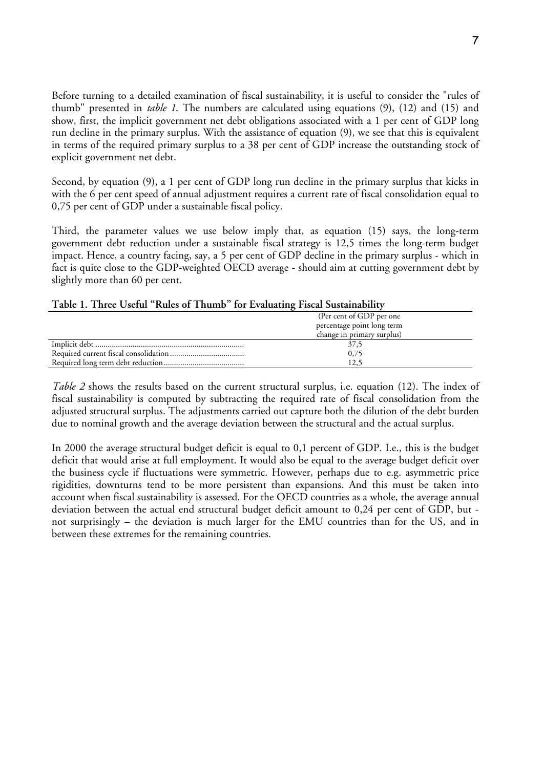Before turning to a detailed examination of fiscal sustainability, it is useful to consider the "rules of thumb" presented in *table 1*. The numbers are calculated using equations (9), (12) and (15) and show, first, the implicit government net debt obligations associated with a 1 per cent of GDP long run decline in the primary surplus. With the assistance of equation (9), we see that this is equivalent in terms of the required primary surplus to a 38 per cent of GDP increase the outstanding stock of explicit government net debt.

Second, by equation (9), a 1 per cent of GDP long run decline in the primary surplus that kicks in with the 6 per cent speed of annual adjustment requires a current rate of fiscal consolidation equal to 0,75 per cent of GDP under a sustainable fiscal policy.

Third, the parameter values we use below imply that, as equation (15) says, the long-term government debt reduction under a sustainable fiscal strategy is 12,5 times the long-term budget impact. Hence, a country facing, say, a 5 per cent of GDP decline in the primary surplus - which in fact is quite close to the GDP-weighted OECD average - should aim at cutting government debt by slightly more than 60 per cent.

| (Per cent of GDP per one)  |
|----------------------------|
| percentage point long term |
| change in primary surplus) |
| 37.5                       |
| 0,75                       |
| 12.5                       |

*Table 2* shows the results based on the current structural surplus, i.e. equation (12). The index of fiscal sustainability is computed by subtracting the required rate of fiscal consolidation from the adjusted structural surplus. The adjustments carried out capture both the dilution of the debt burden due to nominal growth and the average deviation between the structural and the actual surplus.

In 2000 the average structural budget deficit is equal to 0,1 percent of GDP. I.e., this is the budget deficit that would arise at full employment. It would also be equal to the average budget deficit over the business cycle if fluctuations were symmetric. However, perhaps due to e.g. asymmetric price rigidities, downturns tend to be more persistent than expansions. And this must be taken into account when fiscal sustainability is assessed. For the OECD countries as a whole, the average annual deviation between the actual end structural budget deficit amount to 0,24 per cent of GDP, but not surprisingly – the deviation is much larger for the EMU countries than for the US, and in between these extremes for the remaining countries.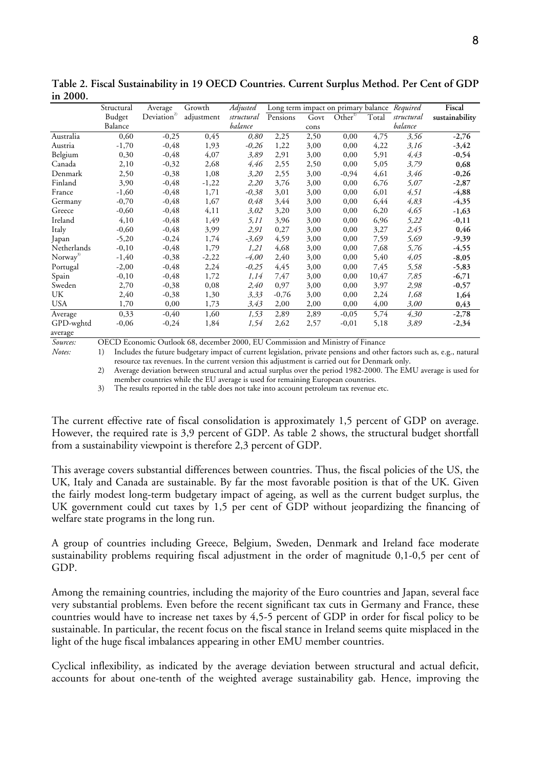| =vvv.                |            |                         |            |            |          |      |                                              |       |            |                |
|----------------------|------------|-------------------------|------------|------------|----------|------|----------------------------------------------|-------|------------|----------------|
|                      | Structural | Average                 | Growth     | Adjusted   |          |      | Long term impact on primary balance Required |       |            | Fiscal         |
|                      | Budget     | Deviation <sup>2)</sup> | adjustment | structural | Pensions | Govt | Other <sup>1</sup>                           | Total | structural | sustainability |
|                      | Balance    |                         |            | balance    |          | cons |                                              |       | balance    |                |
| Australia            | 0,60       | $-0,25$                 | 0,45       | 0,80       | 2,25     | 2,50 | 0,00                                         | 4,75  | 3,56       | $-2,76$        |
| Austria              | $-1,70$    | $-0,48$                 | 1,93       | $-0,26$    | 1,22     | 3,00 | 0,00                                         | 4,22  | 3,16       | $-3,42$        |
| Belgium              | 0,30       | $-0,48$                 | 4,07       | 3,89       | 2,91     | 3,00 | 0,00                                         | 5,91  | 4,43       | $-0,54$        |
| Canada               | 2,10       | $-0,32$                 | 2,68       | 4,46       | 2,55     | 2,50 | 0,00                                         | 5,05  | 3,79       | 0,68           |
| Denmark              | 2,50       | $-0,38$                 | 1,08       | 3,20       | 2,55     | 3,00 | -0,94                                        | 4,61  | 3,46       | $-0,26$        |
| Finland              | 3,90       | $-0,48$                 | $-1,22$    | 2,20       | 3,76     | 3,00 | 0,00                                         | 6,76  | 5,07       | $-2,87$        |
| France               | $-1,60$    | $-0,48$                 | 1,71       | $-0,38$    | 3,01     | 3,00 | 0,00                                         | 6,01  | 4,51       | $-4,88$        |
| Germany              | $-0,70$    | $-0,48$                 | 1,67       | 0,48       | 3,44     | 3,00 | 0,00                                         | 6,44  | 4,83       | $-4,35$        |
| Greece               | $-0,60$    | $-0,48$                 | 4,11       | 3,02       | 3,20     | 3,00 | 0,00                                         | 6,20  | 4,65       | $-1,63$        |
| Ireland              | 4,10       | $-0,48$                 | 1,49       | 5,11       | 3,96     | 3,00 | 0,00                                         | 6,96  | 5,22       | $-0,11$        |
| Italy                | $-0,60$    | $-0,48$                 | 3,99       | 2,91       | 0,27     | 3,00 | 0,00                                         | 3,27  | 2,45       | 0,46           |
| Japan                | $-5,20$    | $-0,24$                 | 1,74       | $-3,69$    | 4,59     | 3,00 | 0,00                                         | 7,59  | 5,69       | $-9,39$        |
| Netherlands          | $-0,10$    | $-0,48$                 | 1,79       | 1,21       | 4,68     | 3,00 | 0,00                                         | 7,68  | 5,76       | $-4,55$        |
| Norway <sup>3)</sup> | $-1,40$    | $-0,38$                 | $-2,22$    | $-4,00$    | 2,40     | 3,00 | 0,00                                         | 5,40  | 4,05       | $-8,05$        |
| Portugal             | $-2,00$    | $-0,48$                 | 2,24       | $-0.25$    | 4,45     | 3,00 | 0,00                                         | 7,45  | 5,58       | $-5,83$        |
| Spain                | $-0,10$    | $-0,48$                 | 1,72       | 1,14       | 7,47     | 3,00 | 0,00                                         | 10,47 | 7,85       | $-6,71$        |
| Sweden               | 2,70       | $-0,38$                 | 0,08       | 2,40       | 0,97     | 3,00 | 0,00                                         | 3,97  | 2,98       | $-0,57$        |
| UK                   | 2,40       | $-0,38$                 | 1,30       | 3,33       | $-0,76$  | 3,00 | 0,00                                         | 2,24  | 1,68       | 1,64           |
| <b>USA</b>           | 1,70       | 0,00                    | 1,73       | 3,43       | 2,00     | 2,00 | 0,00                                         | 4,00  | 3,00       | 0,43           |
| Average              | 0,33       | $-0,40$                 | 1,60       | 1,53       | 2,89     | 2,89 | $-0,05$                                      | 5,74  | 4,30       | $-2,78$        |
| GPD-wghtd            | $-0,06$    | $-0,24$                 | 1,84       | 1,54       | 2,62     | 2,57 | $-0,01$                                      | 5,18  | 3,89       | $-2,34$        |
| average              |            |                         |            |            |          |      |                                              |       |            |                |

**Table 2. Fiscal Sustainability in 19 OECD Countries. Current Surplus Method. Per Cent of GDP in 2000.** 

*Sources:* OECD Economic Outlook 68, december 2000, EU Commission and Ministry of Finance

*Notes:* 1) Includes the future budgetary impact of current legislation, private pensions and other factors such as, e.g., natural resource tax revenues. In the current version this adjustment is carried out for Denmark only.

2) Average deviation between structural and actual surplus over the period 1982-2000. The EMU average is used for member countries while the EU average is used for remaining European countries.

3) The results reported in the table does not take into account petroleum tax revenue etc.

The current effective rate of fiscal consolidation is approximately 1,5 percent of GDP on average. However, the required rate is 3,9 percent of GDP. As table 2 shows, the structural budget shortfall from a sustainability viewpoint is therefore 2,3 percent of GDP.

This average covers substantial differences between countries. Thus, the fiscal policies of the US, the UK, Italy and Canada are sustainable. By far the most favorable position is that of the UK. Given the fairly modest long-term budgetary impact of ageing, as well as the current budget surplus, the UK government could cut taxes by 1,5 per cent of GDP without jeopardizing the financing of welfare state programs in the long run.

A group of countries including Greece, Belgium, Sweden, Denmark and Ireland face moderate sustainability problems requiring fiscal adjustment in the order of magnitude 0,1-0,5 per cent of GDP.

Among the remaining countries, including the majority of the Euro countries and Japan, several face very substantial problems. Even before the recent significant tax cuts in Germany and France, these countries would have to increase net taxes by 4,5-5 percent of GDP in order for fiscal policy to be sustainable. In particular, the recent focus on the fiscal stance in Ireland seems quite misplaced in the light of the huge fiscal imbalances appearing in other EMU member countries.

Cyclical inflexibility, as indicated by the average deviation between structural and actual deficit, accounts for about one-tenth of the weighted average sustainability gab. Hence, improving the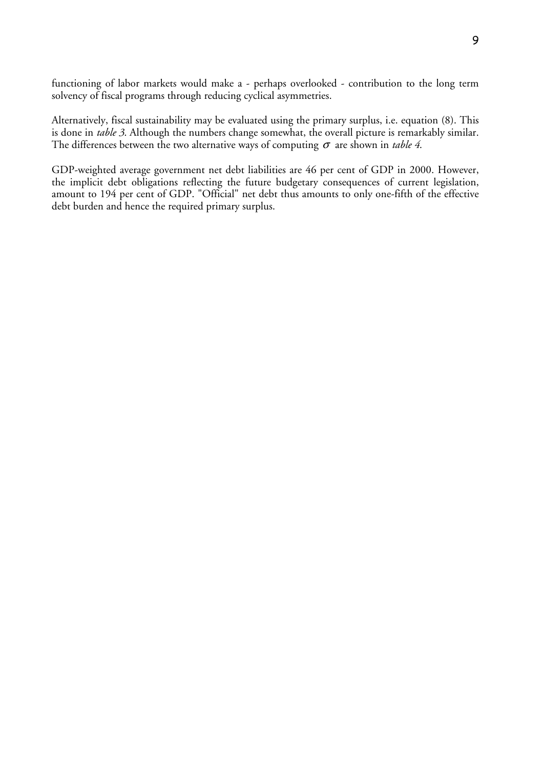functioning of labor markets would make a - perhaps overlooked - contribution to the long term solvency of fiscal programs through reducing cyclical asymmetries.

Alternatively, fiscal sustainability may be evaluated using the primary surplus, i.e. equation (8). This is done in *table 3*. Although the numbers change somewhat, the overall picture is remarkably similar. The differences between the two alternative ways of computing  $\sigma$  are shown in *table 4*.

GDP-weighted average government net debt liabilities are 46 per cent of GDP in 2000. However, the implicit debt obligations reflecting the future budgetary consequences of current legislation, amount to 194 per cent of GDP. "Official" net debt thus amounts to only one-fifth of the effective debt burden and hence the required primary surplus.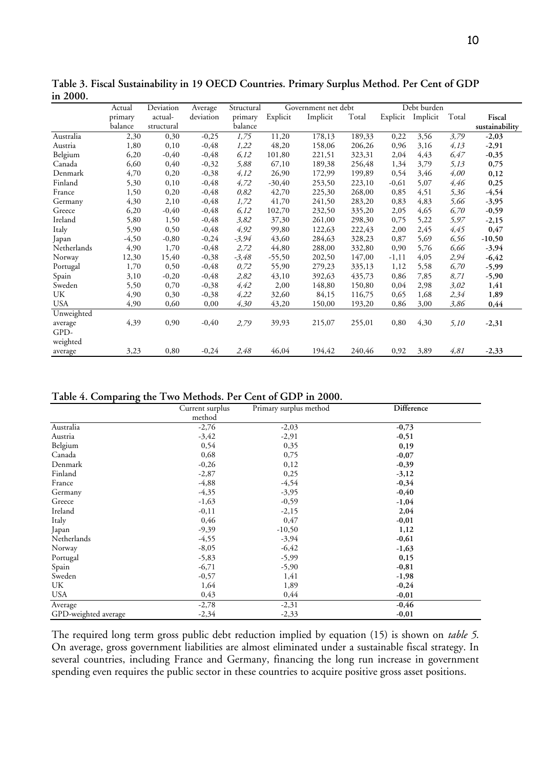|             | Actual  | Deviation  | Average   | Structural | Government net debt |          |        | Debt burden |          |       |                |
|-------------|---------|------------|-----------|------------|---------------------|----------|--------|-------------|----------|-------|----------------|
|             | primary | actual-    | deviation | primary    | Explicit            | Implicit | Total  | Explicit    | Implicit | Total | Fiscal         |
|             | balance | structural |           | balance    |                     |          |        |             |          |       | sustainability |
| Australia   | 2,30    | 0,30       | $-0,25$   | 1,75       | 11,20               | 178,13   | 189,33 | 0,22        | 3,56     | 3,79  | $-2,03$        |
| Austria     | 1,80    | 0,10       | $-0,48$   | 1,22       | 48,20               | 158,06   | 206,26 | 0,96        | 3,16     | 4,13  | $-2,91$        |
| Belgium     | 6,20    | $-0,40$    | $-0,48$   | 6,12       | 101,80              | 221,51   | 323,31 | 2,04        | 4,43     | 6,47  | $-0,35$        |
| Canada      | 6,60    | 0,40       | $-0,32$   | 5,88       | 67,10               | 189,38   | 256,48 | 1,34        | 3,79     | 5,13  | 0,75           |
| Denmark     | 4,70    | 0,20       | $-0,38$   | 4,12       | 26,90               | 172,99   | 199,89 | 0,54        | 3,46     | 4,00  | 0,12           |
| Finland     | 5,30    | 0,10       | $-0,48$   | 4,72       | $-30,40$            | 253,50   | 223,10 | $-0,61$     | 5,07     | 4,46  | 0,25           |
| France      | 1,50    | 0,20       | $-0,48$   | 0,82       | 42,70               | 225,30   | 268,00 | 0,85        | 4,51     | 5,36  | $-4,54$        |
| Germany     | 4,30    | 2,10       | $-0,48$   | 1,72       | 41,70               | 241,50   | 283,20 | 0,83        | 4,83     | 5,66  | $-3,95$        |
| Greece      | 6,20    | $-0,40$    | $-0,48$   | 6,12       | 102,70              | 232,50   | 335,20 | 2,05        | 4,65     | 6,70  | $-0,59$        |
| Ireland     | 5,80    | 1,50       | $-0,48$   | 3,82       | 37,30               | 261,00   | 298,30 | 0,75        | 5,22     | 5,97  | $-2,15$        |
| Italy       | 5,90    | 0,50       | $-0,48$   | 4,92       | 99,80               | 122,63   | 222,43 | 2,00        | 2,45     | 4,45  | 0,47           |
| Japan       | $-4,50$ | $-0,80$    | $-0,24$   | $-3,94$    | 43,60               | 284,63   | 328,23 | 0,87        | 5,69     | 6,56  | $-10,50$       |
| Netherlands | 4,90    | 1,70       | $-0,48$   | 2,72       | 44,80               | 288,00   | 332,80 | 0,90        | 5,76     | 6,66  | $-3,94$        |
| Norway      | 12,30   | 15,40      | $-0,38$   | $-3,48$    | $-55,50$            | 202,50   | 147,00 | $-1, 11$    | 4,05     | 2,94  | $-6,42$        |
| Portugal    | 1,70    | 0,50       | $-0,48$   | 0,72       | 55,90               | 279,23   | 335,13 | 1,12        | 5,58     | 6,70  | $-5,99$        |
| Spain       | 3,10    | $-0,20$    | $-0,48$   | 2,82       | 43,10               | 392,63   | 435,73 | 0,86        | 7,85     | 8,71  | $-5,90$        |
| Sweden      | 5,50    | 0,70       | $-0,38$   | 4,42       | 2,00                | 148,80   | 150,80 | 0,04        | 2,98     | 3,02  | 1,41           |
| UK          | 4,90    | 0,30       | $-0,38$   | 4,22       | 32,60               | 84,15    | 116,75 | 0,65        | 1,68     | 2,34  | 1,89           |
| <b>USA</b>  | 4,90    | 0,60       | 0,00      | 4,30       | 43,20               | 150,00   | 193,20 | 0,86        | 3,00     | 3,86  | 0,44           |
| Unweighted  |         |            |           |            |                     |          |        |             |          |       |                |
| average     | 4,39    | 0,90       | $-0,40$   | 2,79       | 39,93               | 215,07   | 255,01 | 0,80        | 4,30     | 5,10  | $-2,31$        |
| GPD-        |         |            |           |            |                     |          |        |             |          |       |                |
| weighted    |         |            |           |            |                     |          |        |             |          |       |                |
| average     | 3,23    | 0,80       | $-0,24$   | 2,48       | 46,04               | 194,42   | 240,46 | 0,92        | 3,89     | 4,81  | $-2,33$        |

**Table 3. Fiscal Sustainability in 19 OECD Countries. Primary Surplus Method. Per Cent of GDP in 2000.** 

**Table 4. Comparing the Two Methods. Per Cent of GDP in 2000.** 

| ັ                    | Current surplus | Primary surplus method | <b>Difference</b> |  |
|----------------------|-----------------|------------------------|-------------------|--|
|                      | method          |                        |                   |  |
| Australia            | $-2,76$         | $-2,03$                | $-0,73$           |  |
| Austria              | $-3,42$         | $-2,91$                | $-0,51$           |  |
| Belgium              | 0,54            | 0,35                   | 0,19              |  |
| Canada               | 0,68            | 0,75                   | $-0,07$           |  |
| Denmark              | $-0,26$         | 0,12                   | $-0,39$           |  |
| Finland              | $-2,87$         | 0,25                   | $-3,12$           |  |
| France               | $-4,88$         | $-4,54$                | $-0,34$           |  |
| Germany              | $-4,35$         | $-3,95$                | $-0,40$           |  |
| Greece               | $-1,63$         | $-0,59$                | $-1,04$           |  |
| Ireland              | $-0,11$         | $-2,15$                | 2,04              |  |
| Italy                | 0,46            | 0,47                   | $-0,01$           |  |
| Japan                | $-9,39$         | $-10,50$               | 1,12              |  |
| Netherlands          | $-4,55$         | $-3,94$                | $-0,61$           |  |
| Norway               | $-8,05$         | $-6,42$                | $-1,63$           |  |
| Portugal             | $-5,83$         | $-5,99$                | 0,15              |  |
| Spain                | $-6,71$         | $-5,90$                | $-0,81$           |  |
| Sweden               | $-0,57$         | 1,41                   | $-1,98$           |  |
| UK                   | 1,64            | 1,89                   | $-0,24$           |  |
| <b>USA</b>           | 0,43            | 0,44                   | $-0,01$           |  |
| Average              | $-2,78$         | $-2,31$                | $-0,46$           |  |
| GPD-weighted average | $-2,34$         | $-2,33$                | $-0,01$           |  |

The required long term gross public debt reduction implied by equation (15) is shown on *table 5*. On average, gross government liabilities are almost eliminated under a sustainable fiscal strategy. In several countries, including France and Germany, financing the long run increase in government spending even requires the public sector in these countries to acquire positive gross asset positions.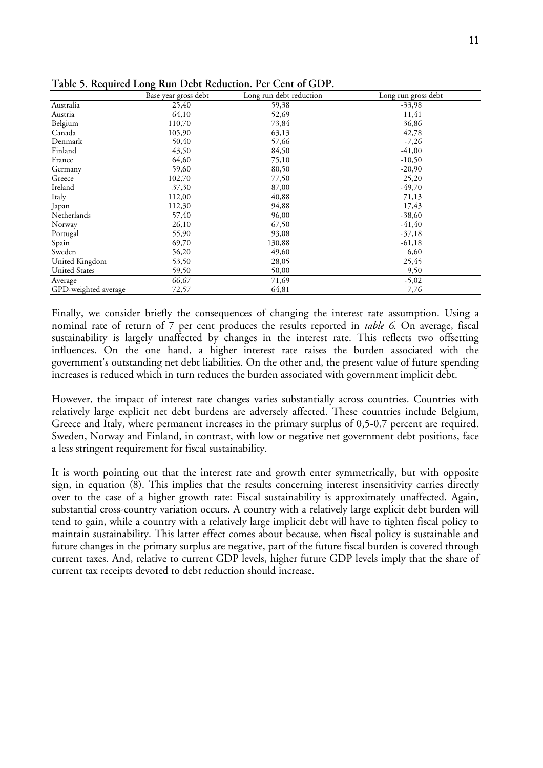|                      | Base year gross debt | Long run debt reduction | Long run gross debt |
|----------------------|----------------------|-------------------------|---------------------|
| Australia            | 25,40                | 59,38                   | $-33,98$            |
| Austria              | 64,10                | 52,69                   | 11,41               |
| Belgium              | 110,70               | 73,84                   | 36,86               |
| Canada               | 105,90               | 63,13                   | 42,78               |
| Denmark              | 50,40                | 57,66                   | $-7,26$             |
| Finland              | 43,50                | 84,50                   | $-41,00$            |
| France               | 64,60                | 75,10                   | $-10,50$            |
| Germany              | 59,60                | 80,50                   | $-20,90$            |
| Greece               | 102,70               | 77,50                   | 25,20               |
| Ireland              | 37,30                | 87,00                   | $-49,70$            |
| Italy                | 112,00               | 40,88                   | 71,13               |
| Japan                | 112,30               | 94,88                   | 17,43               |
| Netherlands          | 57,40                | 96,00                   | $-38,60$            |
| Norway               | 26,10                | 67,50                   | $-41,40$            |
| Portugal             | 55,90                | 93,08                   | $-37,18$            |
| Spain                | 69,70                | 130,88                  | $-61,18$            |
| Sweden               | 56,20                | 49,60                   | 6,60                |
| United Kingdom       | 53,50                | 28,05                   | 25,45               |
| <b>United States</b> | 59,50                | 50,00                   | 9,50                |
| Average              | 66,67                | 71,69                   | $-5,02$             |
| GPD-weighted average | 72,57                | 64,81                   | 7,76                |

**Table 5. Required Long Run Debt Reduction. Per Cent of GDP.** 

Finally, we consider briefly the consequences of changing the interest rate assumption. Using a nominal rate of return of 7 per cent produces the results reported in *table 6*. On average, fiscal sustainability is largely unaffected by changes in the interest rate. This reflects two offsetting influences. On the one hand, a higher interest rate raises the burden associated with the government's outstanding net debt liabilities. On the other and, the present value of future spending increases is reduced which in turn reduces the burden associated with government implicit debt.

However, the impact of interest rate changes varies substantially across countries. Countries with relatively large explicit net debt burdens are adversely affected. These countries include Belgium, Greece and Italy, where permanent increases in the primary surplus of 0,5-0,7 percent are required. Sweden, Norway and Finland, in contrast, with low or negative net government debt positions, face a less stringent requirement for fiscal sustainability.

It is worth pointing out that the interest rate and growth enter symmetrically, but with opposite sign, in equation (8). This implies that the results concerning interest insensitivity carries directly over to the case of a higher growth rate: Fiscal sustainability is approximately unaffected. Again, substantial cross-country variation occurs. A country with a relatively large explicit debt burden will tend to gain, while a country with a relatively large implicit debt will have to tighten fiscal policy to maintain sustainability. This latter effect comes about because, when fiscal policy is sustainable and future changes in the primary surplus are negative, part of the future fiscal burden is covered through current taxes. And, relative to current GDP levels, higher future GDP levels imply that the share of current tax receipts devoted to debt reduction should increase.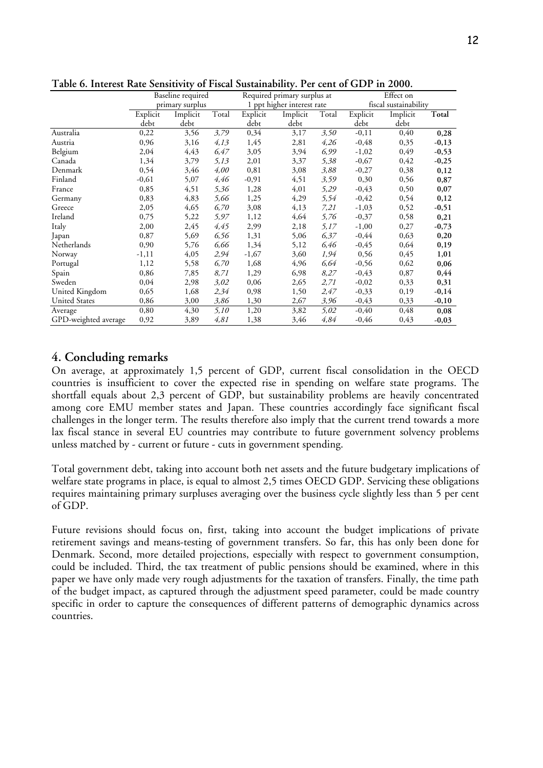|                      | Baseline required |          |       |          | Required primary surplus at |       |          | Effect on             |         |  |
|----------------------|-------------------|----------|-------|----------|-----------------------------|-------|----------|-----------------------|---------|--|
|                      | primary surplus   |          |       |          | 1 ppt higher interest rate  |       |          | fiscal sustainability |         |  |
|                      | Explicit          | Implicit | Total | Explicit | Implicit                    | Total | Explicit | Implicit              | Total   |  |
|                      | debt              | debt     |       | debt     | debt                        |       | debt     | debt                  |         |  |
| Australia            | 0,22              | 3,56     | 3,79  | 0,34     | 3,17                        | 3,50  | $-0,11$  | 0,40                  | 0,28    |  |
| Austria              | 0,96              | 3,16     | 4,13  | 1,45     | 2,81                        | 4,26  | $-0,48$  | 0,35                  | $-0,13$ |  |
| Belgium              | 2,04              | 4,43     | 6,47  | 3,05     | 3,94                        | 6,99  | $-1,02$  | 0,49                  | $-0,53$ |  |
| Canada               | 1,34              | 3,79     | 5,13  | 2,01     | 3,37                        | 5,38  | $-0,67$  | 0,42                  | $-0,25$ |  |
| Denmark              | 0,54              | 3,46     | 4,00  | 0,81     | 3,08                        | 3,88  | $-0,27$  | 0,38                  | 0,12    |  |
| Finland              | $-0,61$           | 5,07     | 4,46  | $-0,91$  | 4,51                        | 3,59  | 0,30     | 0,56                  | 0,87    |  |
| France               | 0,85              | 4,51     | 5,36  | 1,28     | 4,01                        | 5,29  | $-0,43$  | 0,50                  | 0,07    |  |
| Germany              | 0,83              | 4,83     | 5,66  | 1,25     | 4,29                        | 5,54  | $-0,42$  | 0,54                  | 0,12    |  |
| Greece               | 2,05              | 4,65     | 6,70  | 3,08     | 4,13                        | 7,21  | $-1,03$  | 0,52                  | $-0,51$ |  |
| Ireland              | 0,75              | 5,22     | 5,97  | 1,12     | 4,64                        | 5,76  | $-0,37$  | 0,58                  | 0,21    |  |
| Italy                | 2,00              | 2,45     | 4,45  | 2,99     | 2,18                        | 5,17  | $-1,00$  | 0,27                  | $-0,73$ |  |
| Japan                | 0,87              | 5,69     | 6,56  | 1,31     | 5,06                        | 6,37  | $-0,44$  | 0,63                  | 0,20    |  |
| Netherlands          | 0,90              | 5,76     | 6,66  | 1,34     | 5,12                        | 6,46  | $-0,45$  | 0,64                  | 0,19    |  |
| Norway               | $-1,11$           | 4,05     | 2,94  | $-1,67$  | 3,60                        | 1,94  | 0,56     | 0,45                  | 1,01    |  |
| Portugal             | 1,12              | 5,58     | 6,70  | 1,68     | 4,96                        | 6,64  | $-0,56$  | 0,62                  | 0,06    |  |
| Spain                | 0,86              | 7,85     | 8,71  | 1,29     | 6,98                        | 8,27  | $-0,43$  | 0,87                  | 0,44    |  |
| Sweden               | 0,04              | 2,98     | 3,02  | 0,06     | 2,65                        | 2,71  | $-0,02$  | 0,33                  | 0,31    |  |
| United Kingdom       | 0,65              | 1,68     | 2,34  | 0,98     | 1,50                        | 2,47  | $-0,33$  | 0,19                  | $-0,14$ |  |
| <b>United States</b> | 0,86              | 3,00     | 3,86  | 1,30     | 2,67                        | 3,96  | $-0,43$  | 0,33                  | $-0,10$ |  |
| Average              | 0,80              | 4,30     | 5,10  | 1,20     | 3,82                        | 5,02  | $-0,40$  | 0,48                  | 0,08    |  |
| GPD-weighted average | 0,92              | 3,89     | 4,81  | 1,38     | 3,46                        | 4,84  | $-0,46$  | 0,43                  | $-0,03$ |  |

**Table 6. Interest Rate Sensitivity of Fiscal Sustainability. Per cent of GDP in 2000.** 

### **4. Concluding remarks**

On average, at approximately 1,5 percent of GDP, current fiscal consolidation in the OECD countries is insufficient to cover the expected rise in spending on welfare state programs. The shortfall equals about 2,3 percent of GDP, but sustainability problems are heavily concentrated among core EMU member states and Japan. These countries accordingly face significant fiscal challenges in the longer term. The results therefore also imply that the current trend towards a more lax fiscal stance in several EU countries may contribute to future government solvency problems unless matched by - current or future - cuts in government spending.

Total government debt, taking into account both net assets and the future budgetary implications of welfare state programs in place, is equal to almost 2,5 times OECD GDP. Servicing these obligations requires maintaining primary surpluses averaging over the business cycle slightly less than 5 per cent of GDP.

Future revisions should focus on, first, taking into account the budget implications of private retirement savings and means-testing of government transfers. So far, this has only been done for Denmark. Second, more detailed projections, especially with respect to government consumption, could be included. Third, the tax treatment of public pensions should be examined, where in this paper we have only made very rough adjustments for the taxation of transfers. Finally, the time path of the budget impact, as captured through the adjustment speed parameter, could be made country specific in order to capture the consequences of different patterns of demographic dynamics across countries.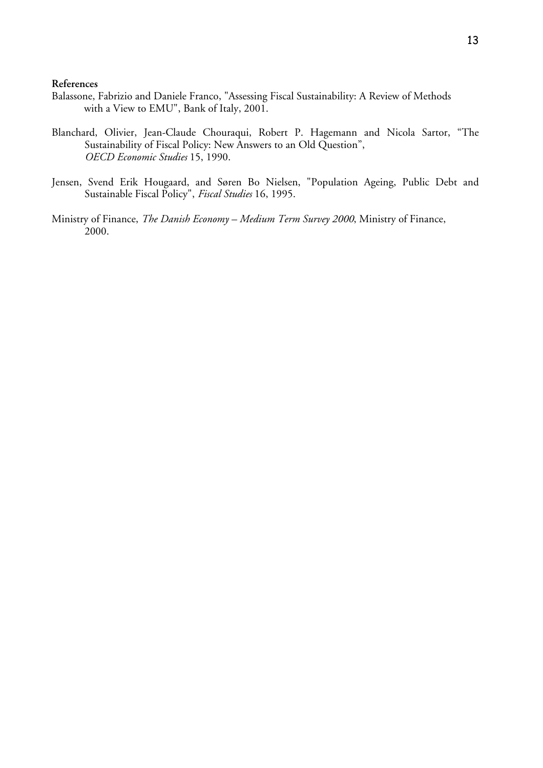#### **References**

- Balassone, Fabrizio and Daniele Franco, "Assessing Fiscal Sustainability: A Review of Methods with a View to EMU", Bank of Italy, 2001.
- Blanchard, Olivier, Jean-Claude Chouraqui, Robert P. Hagemann and Nicola Sartor, "The Sustainability of Fiscal Policy: New Answers to an Old Question", *OECD Economic Studies* 15, 1990.
- Jensen, Svend Erik Hougaard, and Søren Bo Nielsen, "Population Ageing, Public Debt and Sustainable Fiscal Policy", *Fiscal Studies* 16, 1995.
- Ministry of Finance, *The Danish Economy Medium Term Survey 2000*, Ministry of Finance, 2000.